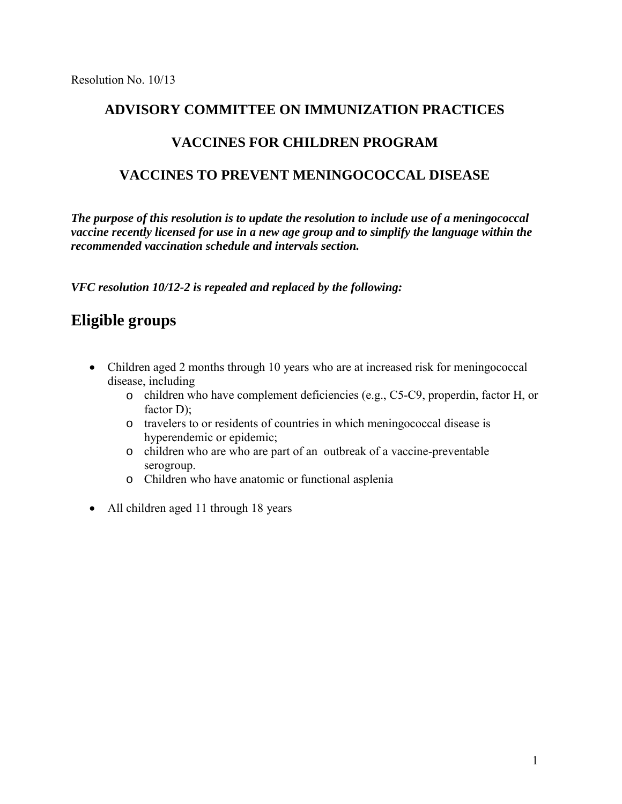#### **ADVISORY COMMITTEE ON IMMUNIZATION PRACTICES**

#### **VACCINES FOR CHILDREN PROGRAM**

### **VACCINES TO PREVENT MENINGOCOCCAL DISEASE**

*The purpose of this resolution is to update the resolution to include use of a meningococcal vaccine recently licensed for use in a new age group and to simplify the language within the recommended vaccination schedule and intervals section.*

*VFC resolution 10/12-2 is repealed and replaced by the following:* 

## **Eligible groups**

- Children aged 2 months through 10 years who are at increased risk for meningococcal disease, including
	- o children who have complement deficiencies (e.g., C5-C9, properdin, factor H, or factor D):
	- o travelers to or residents of countries in which meningococcal disease is hyperendemic or epidemic;
	- o children who are who are part of an outbreak of a vaccine-preventable serogroup.
	- o Children who have anatomic or functional asplenia
- All children aged 11 through 18 years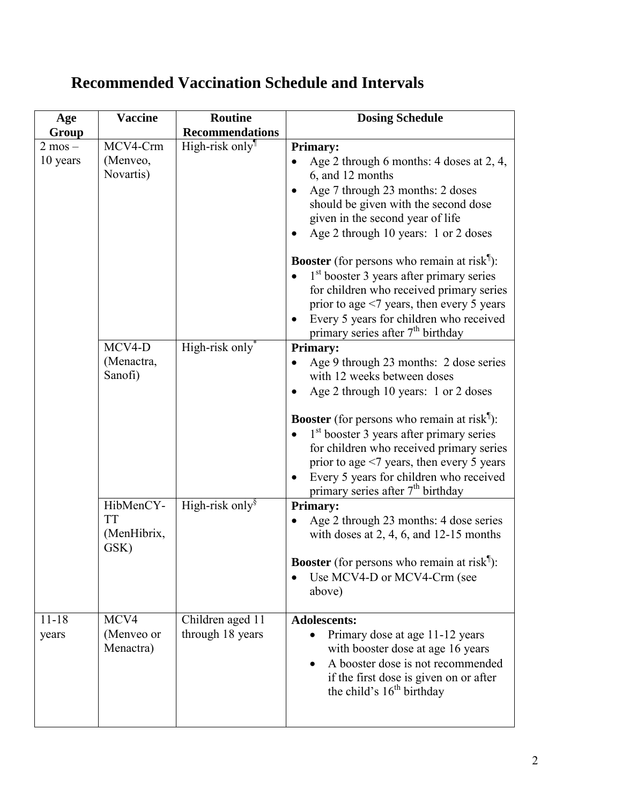# **Recommended Vaccination Schedule and Intervals**

| Age         | <b>Vaccine</b> | <b>Routine</b>          | <b>Dosing Schedule</b>                                                              |
|-------------|----------------|-------------------------|-------------------------------------------------------------------------------------|
| Group       |                | <b>Recommendations</b>  |                                                                                     |
| $2$ mos $-$ | MCV4-Crm       | High-risk only          | <b>Primary:</b>                                                                     |
| 10 years    | (Menveo,       |                         | Age 2 through 6 months: 4 doses at 2, 4,                                            |
|             | Novartis)      |                         | 6, and 12 months                                                                    |
|             |                |                         | Age 7 through 23 months: 2 doses                                                    |
|             |                |                         | should be given with the second dose                                                |
|             |                |                         | given in the second year of life                                                    |
|             |                |                         | Age 2 through 10 years: 1 or 2 doses                                                |
|             |                |                         | <b>Booster</b> (for persons who remain at risk <sup>1</sup> ):                      |
|             |                |                         | $1st$ booster 3 years after primary series                                          |
|             |                |                         | for children who received primary series                                            |
|             |                |                         | prior to age $\leq$ 7 years, then every 5 years                                     |
|             |                |                         | Every 5 years for children who received                                             |
|             |                |                         | primary series after 7 <sup>th</sup> birthday                                       |
|             | MCV4-D         | High-risk only          | <b>Primary:</b>                                                                     |
|             | (Menactra,     |                         | Age 9 through 23 months: 2 dose series                                              |
|             | Sanofi)        |                         | with 12 weeks between doses                                                         |
|             |                |                         | Age 2 through 10 years: 1 or 2 doses                                                |
|             |                |                         | <b>Booster</b> (for persons who remain at risk <sup>1</sup> ):                      |
|             |                |                         | $1st$ booster 3 years after primary series                                          |
|             |                |                         | for children who received primary series                                            |
|             |                |                         | prior to age $\leq$ 7 years, then every 5 years                                     |
|             |                |                         | Every 5 years for children who received<br>$\bullet$                                |
|             |                |                         | primary series after 7 <sup>th</sup> birthday                                       |
|             | HibMenCY-      | High-risk only $\delta$ | <b>Primary:</b>                                                                     |
|             | <b>TT</b>      |                         | Age 2 through 23 months: 4 dose series                                              |
|             | (MenHibrix,    |                         | with doses at 2, 4, 6, and $12-15$ months                                           |
|             | GSK)           |                         | <b>Booster</b> (for persons who remain at risk <sup><math>\parallel</math></sup> ): |
|             |                |                         | Use MCV4-D or MCV4-Crm (see                                                         |
|             |                |                         | above)                                                                              |
|             |                |                         |                                                                                     |
| $11 - 18$   | MCV4           | Children aged 11        | <b>Adolescents:</b>                                                                 |
| years       | (Menveo or     | through 18 years        | Primary dose at age 11-12 years                                                     |
|             | Menactra)      |                         | with booster dose at age 16 years                                                   |
|             |                |                         | A booster dose is not recommended                                                   |
|             |                |                         | if the first dose is given on or after                                              |
|             |                |                         | the child's $16th$ birthday                                                         |
|             |                |                         |                                                                                     |
|             |                |                         |                                                                                     |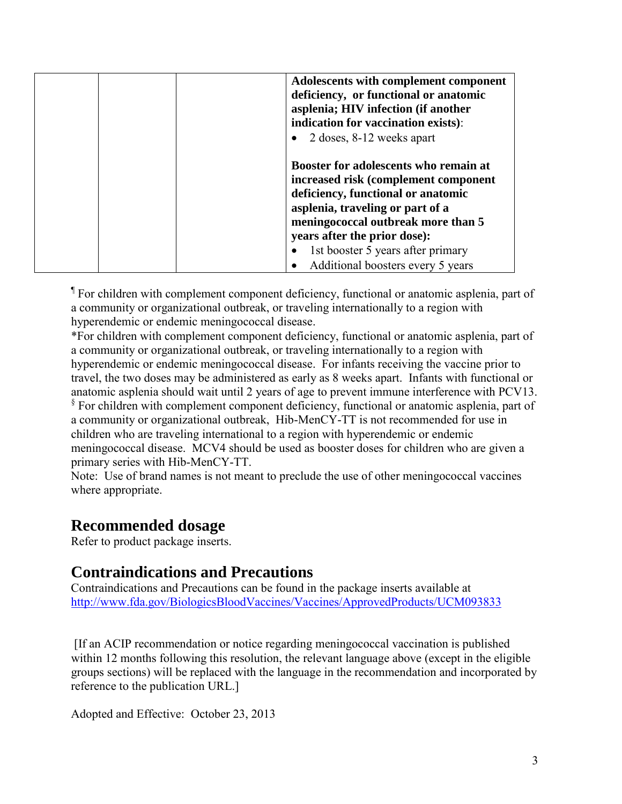| Adolescents with complement component<br>deficiency, or functional or anatomic<br>asplenia; HIV infection (if another<br>indication for vaccination exists):<br>2 doses, 8-12 weeks apart                                                                                                               |
|---------------------------------------------------------------------------------------------------------------------------------------------------------------------------------------------------------------------------------------------------------------------------------------------------------|
| Booster for adolescents who remain at<br>increased risk (complement component<br>deficiency, functional or anatomic<br>asplenia, traveling or part of a<br>meningococcal outbreak more than 5<br>years after the prior dose):<br>1st booster 5 years after primary<br>Additional boosters every 5 years |

¶ For children with complement component deficiency, functional or anatomic asplenia, part of a community or organizational outbreak, or traveling internationally to a region with hyperendemic or endemic meningococcal disease.

\*For children with complement component deficiency, functional or anatomic asplenia, part of a community or organizational outbreak, or traveling internationally to a region with hyperendemic or endemic meningococcal disease. For infants receiving the vaccine prior to travel, the two doses may be administered as early as 8 weeks apart. Infants with functional or anatomic asplenia should wait until 2 years of age to prevent immune interference with PCV13. <sup>§</sup> For children with complement component deficiency, functional or anatomic asplenia, part of a community or organizational outbreak, Hib-MenCY-TT is not recommended for use in children who are traveling international to a region with hyperendemic or endemic meningococcal disease. MCV4 should be used as booster doses for children who are given a primary series with Hib-MenCY-TT.

Note: Use of brand names is not meant to preclude the use of other meningococcal vaccines where appropriate.

### **Recommended dosage**

Refer to product package inserts.

### **Contraindications and Precautions**

Contraindications and Precautions can be found in the package inserts available at <http://www.fda.gov/BiologicsBloodVaccines/Vaccines/ApprovedProducts/UCM093833>

[If an ACIP recommendation or notice regarding meningococcal vaccination is published within 12 months following this resolution, the relevant language above (except in the eligible groups sections) will be replaced with the language in the recommendation and incorporated by reference to the publication URL.]

Adopted and Effective: October 23, 2013